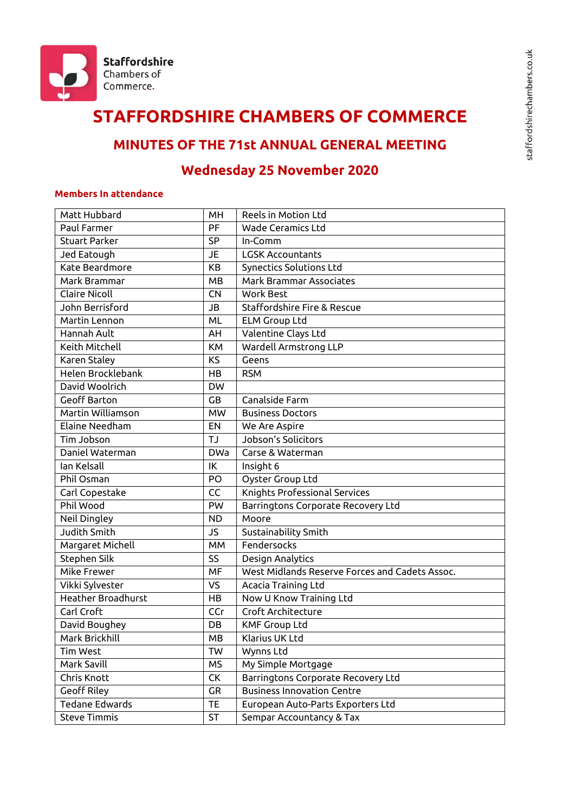

# **STAFFORDSHIRE CHAMBERS OF COMMERCE**

# **MINUTES OF THE 71st ANNUAL GENERAL MEETING**

# **Wednesday 25 November 2020**

#### **Members In attendance**

| Matt Hubbard          | MH         | Reels in Motion Ltd                            |
|-----------------------|------------|------------------------------------------------|
| Paul Farmer           | PF         | <b>Wade Ceramics Ltd</b>                       |
| <b>Stuart Parker</b>  | <b>SP</b>  | In-Comm                                        |
| Jed Eatough           | <b>JE</b>  | <b>LGSK Accountants</b>                        |
| Kate Beardmore        | KB         | Synectics Solutions Ltd                        |
| Mark Brammar          | <b>MB</b>  | <b>Mark Brammar Associates</b>                 |
| <b>Claire Nicoll</b>  | <b>CN</b>  | <b>Work Best</b>                               |
| John Berrisford       | JB         | Staffordshire Fire & Rescue                    |
| Martin Lennon         | ML         | <b>ELM Group Ltd</b>                           |
| Hannah Ault           | AH         | Valentine Clays Ltd                            |
| Keith Mitchell        | <b>KM</b>  | Wardell Armstrong LLP                          |
| Karen Staley          | <b>KS</b>  | Geens                                          |
| Helen Brocklebank     | HB         | <b>RSM</b>                                     |
| David Woolrich        | <b>DW</b>  |                                                |
| <b>Geoff Barton</b>   | GB         | Canalside Farm                                 |
| Martin Williamson     | <b>MW</b>  | <b>Business Doctors</b>                        |
| Elaine Needham        | EN         | We Are Aspire                                  |
| Tim Jobson            | <b>TJ</b>  | Jobson's Solicitors                            |
| Daniel Waterman       | <b>DWa</b> | Carse & Waterman                               |
| Ian Kelsall           | IK         | Insight 6                                      |
| Phil Osman            | PO         | Oyster Group Ltd                               |
| Carl Copestake        | CC         | Knights Professional Services                  |
| Phil Wood             | PW         | Barringtons Corporate Recovery Ltd             |
| Neil Dingley          | <b>ND</b>  | Moore                                          |
| Judith Smith          | JS         | Sustainability Smith                           |
| Margaret Michell      | MM         | Fendersocks                                    |
| Stephen Silk          | SS         | Design Analytics                               |
| Mike Frewer           | MF         | West Midlands Reserve Forces and Cadets Assoc. |
| Vikki Sylvester       | VS         | Acacia Training Ltd                            |
| Heather Broadhurst    | HB         | Now U Know Training Ltd                        |
| Carl Croft            | CCr        | Croft Architecture                             |
| David Boughey         | DB         | <b>KMF Group Ltd</b>                           |
| Mark Brickhill        | MB         | Klarius UK Ltd                                 |
| Tim West              | TW         | Wynns Ltd                                      |
| Mark Savill           | <b>MS</b>  | My Simple Mortgage                             |
| Chris Knott           | CK         | Barringtons Corporate Recovery Ltd             |
| <b>Geoff Riley</b>    | GR         | <b>Business Innovation Centre</b>              |
| <b>Tedane Edwards</b> | TE.        | European Auto-Parts Exporters Ltd              |
| <b>Steve Timmis</b>   | ST         | Sempar Accountancy & Tax                       |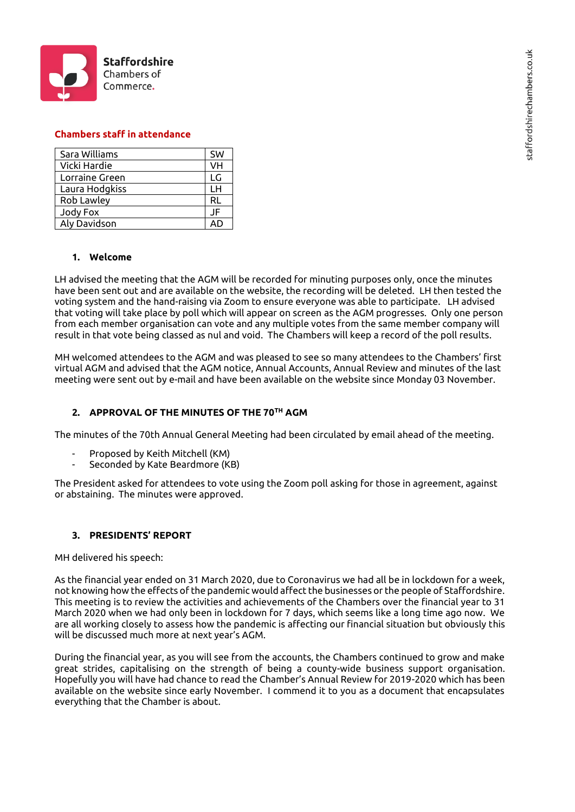

#### **Chambers staff in attendance**

| Sara Williams  | <b>SW</b> |
|----------------|-----------|
| Vicki Hardie   | VH        |
| Lorraine Green | LG        |
| Laura Hodgkiss | LН        |
| Rob Lawley     | RL        |
| Jody Fox       | JF        |
| Aly Davidson   |           |

#### **1. Welcome**

LH advised the meeting that the AGM will be recorded for minuting purposes only, once the minutes have been sent out and are available on the website, the recording will be deleted. LH then tested the voting system and the hand-raising via Zoom to ensure everyone was able to participate. LH advised that voting will take place by poll which will appear on screen as the AGM progresses. Only one person from each member organisation can vote and any multiple votes from the same member company will result in that vote being classed as nul and void. The Chambers will keep a record of the poll results.

MH welcomed attendees to the AGM and was pleased to see so many attendees to the Chambers' first virtual AGM and advised that the AGM notice, Annual Accounts, Annual Review and minutes of the last meeting were sent out by e-mail and have been available on the website since Monday 03 November.

#### **2. APPROVAL OF THE MINUTES OF THE 70TH AGM**

The minutes of the 70th Annual General Meeting had been circulated by email ahead of the meeting.

- Proposed by Keith Mitchell (KM)
- Seconded by Kate Beardmore (KB)

The President asked for attendees to vote using the Zoom poll asking for those in agreement, against or abstaining. The minutes were approved.

#### **3. PRESIDENTS' REPORT**

MH delivered his speech:

As the financial year ended on 31 March 2020, due to Coronavirus we had all be in lockdown for a week, not knowing how the effects of the pandemic would affect the businesses or the people of Staffordshire. This meeting is to review the activities and achievements of the Chambers over the financial year to 31 March 2020 when we had only been in lockdown for 7 days, which seems like a long time ago now. We are all working closely to assess how the pandemic is affecting our financial situation but obviously this will be discussed much more at next year's AGM.

During the financial year, as you will see from the accounts, the Chambers continued to grow and make great strides, capitalising on the strength of being a county-wide business support organisation. Hopefully you will have had chance to read the Chamber's Annual Review for 2019-2020 which has been available on the website since early November. I commend it to you as a document that encapsulates everything that the Chamber is about.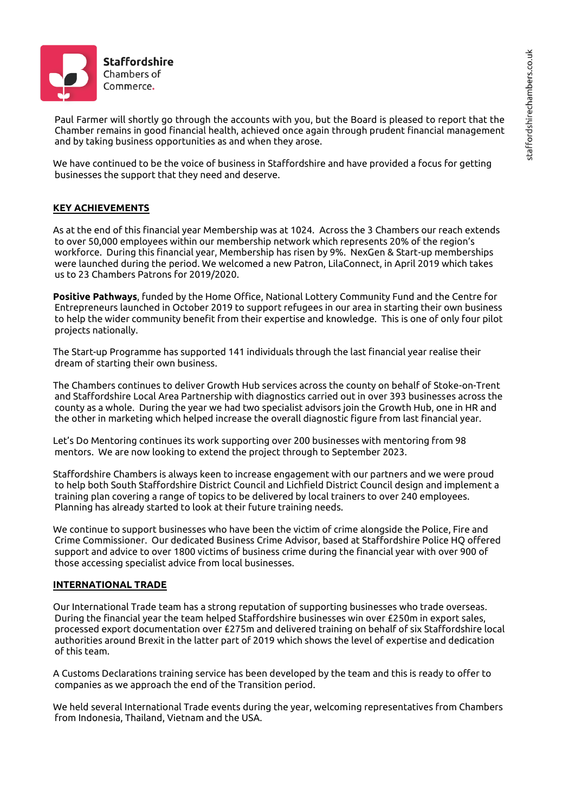

Paul Farmer will shortly go through the accounts with you, but the Board is pleased to report that the Chamber remains in good financial health, achieved once again through prudent financial management and by taking business opportunities as and when they arose.

We have continued to be the voice of business in Staffordshire and have provided a focus for getting businesses the support that they need and deserve.

# **KEY ACHIEVEMENTS**

As at the end of this financial year Membership was at 1024. Across the 3 Chambers our reach extends to over 50,000 employees within our membership network which represents 20% of the region's workforce. During this financial year, Membership has risen by 9%. NexGen & Start-up memberships were launched during the period. We welcomed a new Patron, LilaConnect, in April 2019 which takes us to 23 Chambers Patrons for 2019/2020.

**Positive Pathways**, funded by the Home Office, National Lottery Community Fund and the Centre for Entrepreneurs launched in October 2019 to support refugees in our area in starting their own business to help the wider community benefit from their expertise and knowledge. This is one of only four pilot projects nationally.

The Start-up Programme has supported 141 individuals through the last financial year realise their dream of starting their own business.

The Chambers continues to deliver Growth Hub services across the county on behalf of Stoke-on-Trent and Staffordshire Local Area Partnership with diagnostics carried out in over 393 businesses across the county as a whole. During the year we had two specialist advisors join the Growth Hub, one in HR and the other in marketing which helped increase the overall diagnostic figure from last financial year.

Let's Do Mentoring continues its work supporting over 200 businesses with mentoring from 98 mentors. We are now looking to extend the project through to September 2023.

Staffordshire Chambers is always keen to increase engagement with our partners and we were proud to help both South Staffordshire District Council and Lichfield District Council design and implement a training plan covering a range of topics to be delivered by local trainers to over 240 employees. Planning has already started to look at their future training needs.

We continue to support businesses who have been the victim of crime alongside the Police, Fire and Crime Commissioner. Our dedicated Business Crime Advisor, based at Staffordshire Police HQ offered support and advice to over 1800 victims of business crime during the financial year with over 900 of those accessing specialist advice from local businesses.

#### **INTERNATIONAL TRADE**

Our International Trade team has a strong reputation of supporting businesses who trade overseas. During the financial year the team helped Staffordshire businesses win over £250m in export sales, processed export documentation over £275m and delivered training on behalf of six Staffordshire local authorities around Brexit in the latter part of 2019 which shows the level of expertise and dedication of this team.

A Customs Declarations training service has been developed by the team and this is ready to offer to companies as we approach the end of the Transition period.

We held several International Trade events during the year, welcoming representatives from Chambers from Indonesia, Thailand, Vietnam and the USA.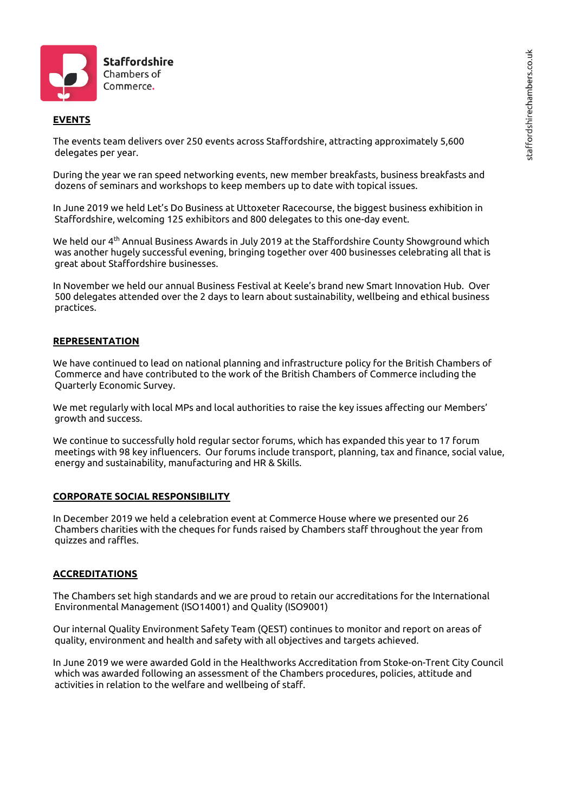

#### **EVENTS**

The events team delivers over 250 events across Staffordshire, attracting approximately 5,600 delegates per year.

During the year we ran speed networking events, new member breakfasts, business breakfasts and dozens of seminars and workshops to keep members up to date with topical issues.

In June 2019 we held Let's Do Business at Uttoxeter Racecourse, the biggest business exhibition in Staffordshire, welcoming 125 exhibitors and 800 delegates to this one-day event.

We held our 4th Annual Business Awards in July 2019 at the Staffordshire County Showground which was another hugely successful evening, bringing together over 400 businesses celebrating all that is great about Staffordshire businesses.

In November we held our annual Business Festival at Keele's brand new Smart Innovation Hub. Over 500 delegates attended over the 2 days to learn about sustainability, wellbeing and ethical business practices.

#### **REPRESENTATION**

We have continued to lead on national planning and infrastructure policy for the British Chambers of Commerce and have contributed to the work of the British Chambers of Commerce including the Quarterly Economic Survey.

We met regularly with local MPs and local authorities to raise the key issues affecting our Members' growth and success.

We continue to successfully hold regular sector forums, which has expanded this year to 17 forum meetings with 98 key influencers. Our forums include transport, planning, tax and finance, social value, energy and sustainability, manufacturing and HR & Skills.

#### **CORPORATE SOCIAL RESPONSIBILITY**

In December 2019 we held a celebration event at Commerce House where we presented our 26 Chambers charities with the cheques for funds raised by Chambers staff throughout the year from quizzes and raffles.

#### **ACCREDITATIONS**

The Chambers set high standards and we are proud to retain our accreditations for the International Environmental Management (ISO14001) and Quality (ISO9001)

Our internal Quality Environment Safety Team (QEST) continues to monitor and report on areas of quality, environment and health and safety with all objectives and targets achieved.

In June 2019 we were awarded Gold in the Healthworks Accreditation from Stoke-on-Trent City Council which was awarded following an assessment of the Chambers procedures, policies, attitude and activities in relation to the welfare and wellbeing of staff.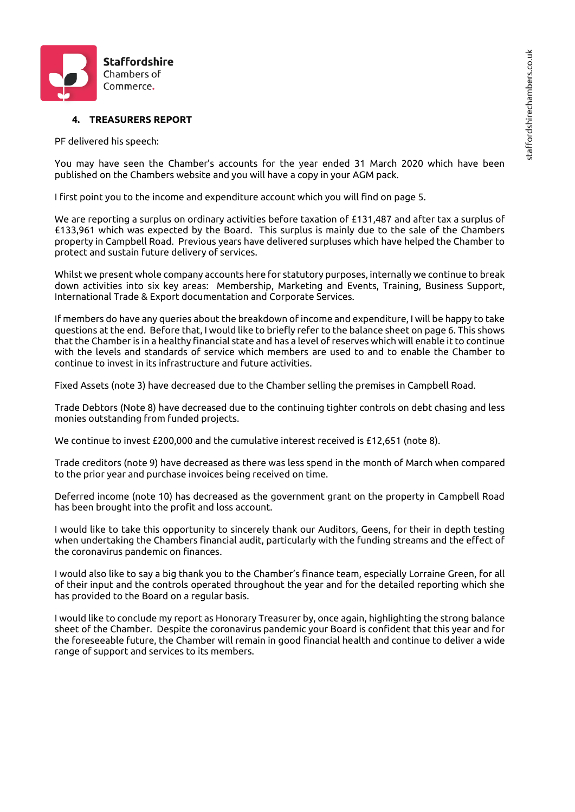

### **4. TREASURERS REPORT**

PF delivered his speech:

You may have seen the Chamber's accounts for the year ended 31 March 2020 which have been published on the Chambers website and you will have a copy in your AGM pack.

I first point you to the income and expenditure account which you will find on page 5.

We are reporting a surplus on ordinary activities before taxation of £131,487 and after tax a surplus of £133,961 which was expected by the Board. This surplus is mainly due to the sale of the Chambers property in Campbell Road. Previous years have delivered surpluses which have helped the Chamber to protect and sustain future delivery of services.

Whilst we present whole company accounts here for statutory purposes, internally we continue to break down activities into six key areas: Membership, Marketing and Events, Training, Business Support, International Trade & Export documentation and Corporate Services.

If members do have any queries about the breakdown of income and expenditure, I will be happy to take questions at the end. Before that, I would like to briefly refer to the balance sheet on page 6. This shows that the Chamber is in a healthy financial state and has a level of reserves which will enable it to continue with the levels and standards of service which members are used to and to enable the Chamber to continue to invest in its infrastructure and future activities.

Fixed Assets (note 3) have decreased due to the Chamber selling the premises in Campbell Road.

Trade Debtors (Note 8) have decreased due to the continuing tighter controls on debt chasing and less monies outstanding from funded projects.

We continue to invest £200,000 and the cumulative interest received is £12,651 (note 8).

Trade creditors (note 9) have decreased as there was less spend in the month of March when compared to the prior year and purchase invoices being received on time.

Deferred income (note 10) has decreased as the government grant on the property in Campbell Road has been brought into the profit and loss account.

I would like to take this opportunity to sincerely thank our Auditors, Geens, for their in depth testing when undertaking the Chambers financial audit, particularly with the funding streams and the effect of the coronavirus pandemic on finances.

I would also like to say a big thank you to the Chamber's finance team, especially Lorraine Green, for all of their input and the controls operated throughout the year and for the detailed reporting which she has provided to the Board on a regular basis.

I would like to conclude my report as Honorary Treasurer by, once again, highlighting the strong balance sheet of the Chamber. Despite the coronavirus pandemic your Board is confident that this year and for the foreseeable future, the Chamber will remain in good financial health and continue to deliver a wide range of support and services to its members.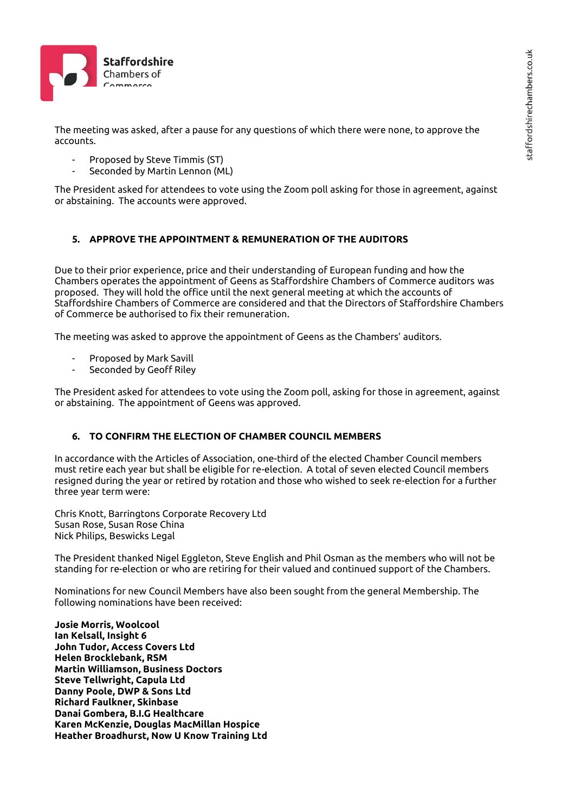

The meeting was asked, after a pause for any questions of which there were none, to approve the accounts.

- Proposed by Steve Timmis (ST)
- Seconded by Martin Lennon (ML)

The President asked for attendees to vote using the Zoom poll asking for those in agreement, against or abstaining. The accounts were approved.

## **5. APPROVE THE APPOINTMENT & REMUNERATION OF THE AUDITORS**

Due to their prior experience, price and their understanding of European funding and how the Chambers operates the appointment of Geens as Staffordshire Chambers of Commerce auditors was proposed. They will hold the office until the next general meeting at which the accounts of Staffordshire Chambers of Commerce are considered and that the Directors of Staffordshire Chambers of Commerce be authorised to fix their remuneration.

The meeting was asked to approve the appointment of Geens as the Chambers' auditors.

- Proposed by Mark Savill
- Seconded by Geoff Riley

The President asked for attendees to vote using the Zoom poll, asking for those in agreement, against or abstaining. The appointment of Geens was approved.

## **6. TO CONFIRM THE ELECTION OF CHAMBER COUNCIL MEMBERS**

In accordance with the Articles of Association, one-third of the elected Chamber Council members must retire each year but shall be eligible for re-election. A total of seven elected Council members resigned during the year or retired by rotation and those who wished to seek re-election for a further three year term were:

Chris Knott, Barringtons Corporate Recovery Ltd Susan Rose, Susan Rose China Nick Philips, Beswicks Legal

The President thanked Nigel Eggleton, Steve English and Phil Osman as the members who will not be standing for re-election or who are retiring for their valued and continued support of the Chambers.

Nominations for new Council Members have also been sought from the general Membership. The following nominations have been received:

**Josie Morris, Woolcool Ian Kelsall, Insight 6 John Tudor, Access Covers Ltd Helen Brocklebank, RSM Martin Williamson, Business Doctors Steve Tellwright, Capula Ltd Danny Poole, DWP & Sons Ltd Richard Faulkner, Skinbase Danai Gombera, B.I.G Healthcare Karen McKenzie, Douglas MacMillan Hospice Heather Broadhurst, Now U Know Training Ltd**